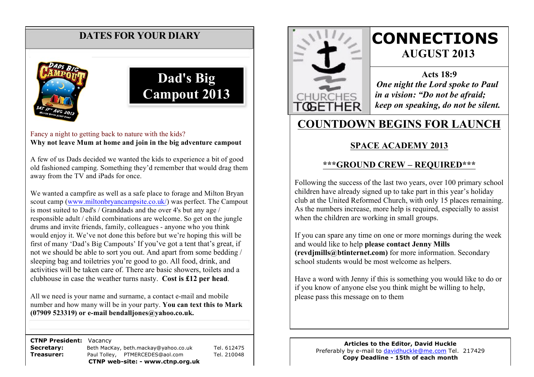## **DATES FOR YOUR DIARY**



# **Dad's Big Campout 2013**

Fancy a night to getting back to nature with the kids? **Why not leave Mum at home and join in the big adventure campout**

A few of us Dads decided we wanted the kids to experience a bit of good old fashioned camping. Something they'd remember that would drag them away from the TV and iPads for once.

We wanted a campfire as well as a safe place to forage and Milton Bryan scout camp (www.miltonbryancampsite.co.uk/) was perfect. The Campout is most suited to Dad's / Granddads and the over 4's but any age / responsible adult / child combinations are welcome. So get on the jungle drums and invite friends, family, colleagues - anyone who you think would enjoy it. We've not done this before but we're hoping this will be first of many 'Dad's Big Campouts' If you've got a tent that's great, if not we should be able to sort you out. And apart from some bedding / sleeping bag and toiletries you're good to go. All food, drink, and activities will be taken care of. There are basic showers, toilets and a clubhouse in case the weather turns nasty. **Cost is £12 per head**.

All we need is your name and surname, a contact e-mail and mobile number and how many will be in your party. **You can text this to Mark (07909 523319) or e-mail bendalljones@yahoo.co.uk.**

 **CTNP President:** Vacancy

**Secretary:** Beth MacKay, beth.mackay@yahoo.co.uk Tel. 612475 **Treasurer:** Paul Tolley, PTMERCEDES@aol.com Tel. 210048 **CTNP web-site: - www.ctnp.org.uk**



# **CONNECTIONS AUGUST 2013**

**Acts 18:9** *One night the Lord spoke to Paul in a vision: "Do not be afraid; keep on speaking, do not be silent.*

# **COUNTDOWN BEGINS FOR LAUNCH**

#### **SPACE ACADEMY 2013**

#### **\*\*\*GROUND CREW – REQUIRED\*\*\***

Following the success of the last two years, over 100 primary school children have already signed up to take part in this year's holiday club at the United Reformed Church, with only 15 places remaining. As the numbers increase, more help is required, especially to assist when the children are working in small groups.

If you can spare any time on one or more mornings during the week and would like to help **please contact Jenny Mills (revdjmills@btinternet.com)** for more information. Secondary school students would be most welcome as helpers.

Have a word with Jenny if this is something you would like to do or if you know of anyone else you think might be willing to help, please pass this message on to them

> **Articles to the Editor, David Huckle** Preferably by e-mail to davidhuckle@me.com Tel. 217429 **Copy Deadline - 15th of each month**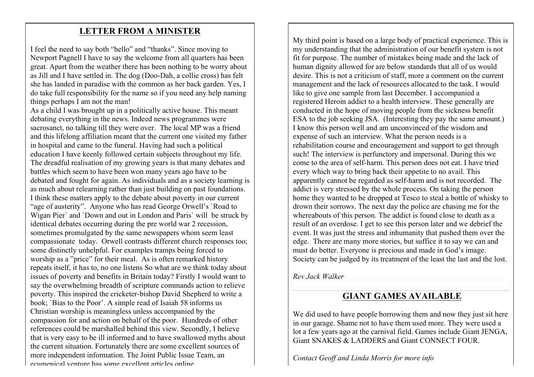#### **LETTER FROM A MINISTER**

I feel the need to say both "hello" and "thanks". Since moving to Newport Pagnell I have to say the welcome from all quarters has been great. Apart from the weather there has been nothing to be worry about as Jill and I have settled in. The dog (Doo-Dah, a collie cross) has felt she has landed in paradise with the common as her back garden. Yes, I do take full responsibility for the name so if you need any help naming things perhaps I am not the man!

As a child I was brought up in a politically active house. This meant debating everything in the news. Indeed news programmes were sacrosanct, no talking till they were over. The local MP was a friend and this lifelong affiliation meant that the current one visited my father in hospital and came to the funeral. Having had such a political education I have keenly followed certain subjects throughout my life. The dreadful realisation of my growing years is that many debates and battles which seem to have been won many years ago have to be debated and fought for again. As individuals and as a society learning is as much about relearning rather than just building on past foundations. I think these matters apply to the debate about poverty in our current "age of austerity". Anyone who has read George Orwell's `Road to Wigan Pier` and `Down and out in London and Paris` will be struck by identical debates occurring during the pre world war 2 recession, sometimes promulgated by the same newspapers whom seem least compassionate today. Orwell contrasts different church responses too; some distinctly unhelpful. For examples tramps being forced to worship as a "price" for their meal. As is often remarked history repeats itself, it has to, no one listens So what are we think today about issues of poverty and benefits in Britain today? Firstly I would want to say the overwhelming breadth of scripture commands action to relieve poverty. This inspired the cricketer-bishop David Shepherd to write a book; `Bias to the Poor'. A simple read of Isaiah 58 informs us Christian worship is meaningless unless accompanied by the compassion for and action on behalf of the poor. Hundreds of other references could be marshalled behind this view. Secondly, I believe that is very easy to be ill informed and to have swallowed myths about the current situation. Fortunately there are some excellent sources of more independent information. The Joint Public Issue Team, an ecumenical venture has some excellent articles online.

My third point is based on a large body of practical experience. This is my understanding that the administration of our benefit system is not fit for purpose. The number of mistakes being made and the lack of human dignity allowed for are below standards that all of us would desire. This is not a criticism of staff, more a comment on the current management and the lack of resources allocated to the task. I would like to give one sample from last December. I accompanied a registered Heroin addict to a health interview. These generally are conducted in the hope of moving people from the sickness benefit ESA to the job seeking JSA. (Interesting they pay the same amount.) I know this person well and am unconvinced of the wisdom and expense of such an interview. What the person needs is a rehabilitation course and encouragement and support to get through such! The interview is perfunctory and impersonal. During this we come to the area of self-harm. This person does not eat. I have tried every which way to bring back their appetite to no avail. This apparently cannot be regarded as self-harm and is not recorded. The addict is very stressed by the whole process. On taking the person home they wanted to be dropped at Tesco to steal a bottle of whisky to drown their sorrows. The next day the police are chasing me for the whereabouts of this person. The addict is found close to death as a result of an overdose. I get to see this person later and we debrief the event. It was just the stress and inhumanity that pushed them over the edge. There are many more stories, but suffice it to say we can and must do better. Everyone is precious and made in God's image. Society can be judged by its treatment of the least the last and the lost.

*Rev Jack Walker*

#### **GIANT GAMES AVAILABLE**

We did used to have people borrowing them and now they just sit here in our garage. Shame not to have them used more. They were used a lot a few years ago at the carnival field. Games include Giant JENGA, Giant SNAKES & LADDERS and Giant CONNECT FOUR.

*Contact Geoff and Linda Morris for more info*